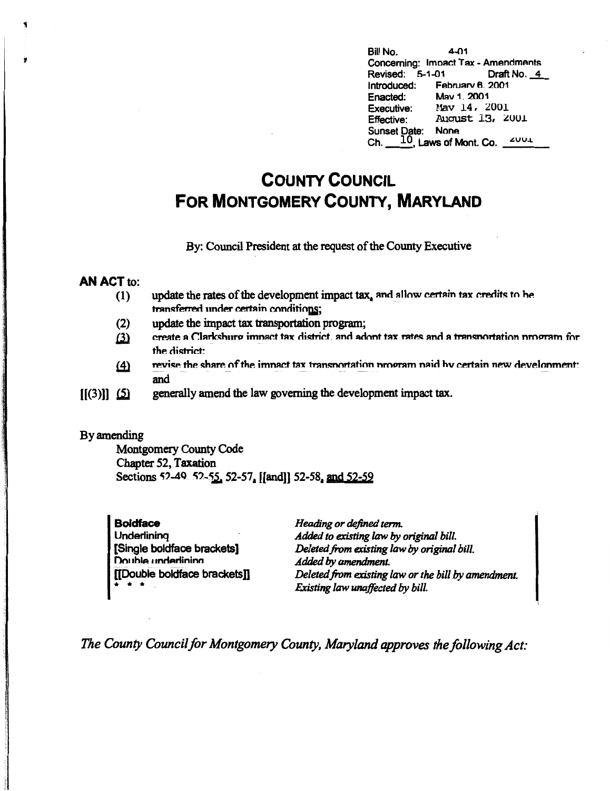$4 - 01$ Bill No. Concerning: Impact Tax - Amendments Revised: 5-1-01 Draft No. 4 Introduced: February 6. 2001 Enacted: May 1, 2001 Executive: Mav 14, 2001 August 13, 2001 **Effective:** Sunset Date: None Ch.  $10$ , Laws of Mont. Co.  $2001$ 

# **COUNTY COUNCIL FOR MONTGOMERY COUNTY, MARYLAND**

By: Council President at the request of the County Executive

#### **AN ACT to:**

- update the rates of the development impact tax, and allow certain tax credits to be  $(1)$ transferred under certain conditions:
- $(2)$ update the impact tax transportation program;
- create a Clarksburg impact tax district, and adopt tax rates and a transportation program for  $(3)$ the district:
- revise the share of the impact tax transportation program paid by certain new development:  $(4)$ and
- generally amend the law governing the development impact tax.  $[[(3)]]$   $(5)$

#### By amending

Montgomery County Code Chapter 52, Taxation Sections 52-49 52-55, 52-57, [[and]] 52-58, and 52-59

| <b>Boldface</b>              | Heading or defined term.                            |
|------------------------------|-----------------------------------------------------|
| Underlining                  | Added to existing law by original bill.             |
| [Single boldface brackets]   | Deleted from existing law by original bill.         |
| Double underlining           | Added by amendment.                                 |
| [[Double boldface brackets]] | Deleted from existing law or the bill by amendment. |
| * * *                        | Existing law unaffected by bill.                    |

The County Council for Montgomery County, Maryland approves the following Act: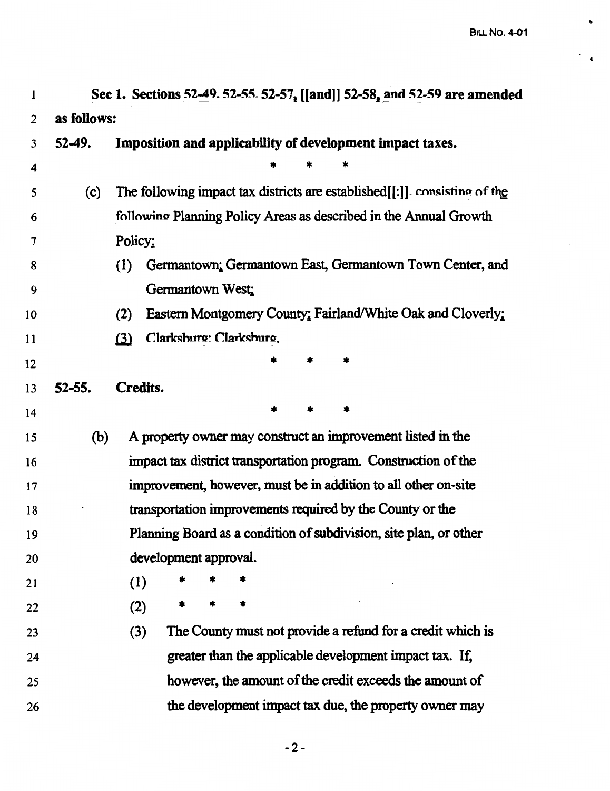**4** 

۰

| l              | Sec 1. Sections 52-49. 52-55. 52-57, [[and]] 52-58, and 52-59 are amended |                                                                            |  |  |  |
|----------------|---------------------------------------------------------------------------|----------------------------------------------------------------------------|--|--|--|
| $\overline{2}$ | as follows:                                                               |                                                                            |  |  |  |
| 3              | $52-49.$                                                                  | Imposition and applicability of development impact taxes.                  |  |  |  |
| 4              |                                                                           |                                                                            |  |  |  |
| 5              | (c)                                                                       | The following impact tax districts are established[[:]]. consisting of the |  |  |  |
| 6              |                                                                           | following Planning Policy Areas as described in the Annual Growth          |  |  |  |
| 7              |                                                                           | Policy:                                                                    |  |  |  |
| 8              |                                                                           | Germantown: Germantown East, Germantown Town Center, and<br>(1)            |  |  |  |
| 9              |                                                                           | Germantown West:                                                           |  |  |  |
| 10             |                                                                           | Eastern Montgomery County: Fairland/White Oak and Cloverly.<br>(2)         |  |  |  |
| 11             |                                                                           | Clarksburg: Clarksburg.<br>$\Omega$                                        |  |  |  |
| 12             |                                                                           |                                                                            |  |  |  |
| 13             | $52 - 55.$                                                                | Credits.                                                                   |  |  |  |
| 14             |                                                                           |                                                                            |  |  |  |
| 15             | (b)                                                                       | A property owner may construct an improvement listed in the                |  |  |  |
| 16             |                                                                           | impact tax district transportation program. Construction of the            |  |  |  |
| 17             |                                                                           | improvement, however, must be in addition to all other on-site             |  |  |  |
| 18             |                                                                           | transportation improvements required by the County or the                  |  |  |  |
| 19             |                                                                           | Planning Board as a condition of subdivision, site plan, or other          |  |  |  |
| 20             |                                                                           | development approval.                                                      |  |  |  |
| 21             |                                                                           | (1)                                                                        |  |  |  |
| 22             |                                                                           | (2)                                                                        |  |  |  |
| 23             |                                                                           | The County must not provide a refund for a credit which is<br>(3)          |  |  |  |
| 24             |                                                                           | greater than the applicable development impact tax. If,                    |  |  |  |
| 25             |                                                                           | however, the amount of the credit exceeds the amount of                    |  |  |  |
| 26             |                                                                           | the development impact tax due, the property owner may                     |  |  |  |

-2-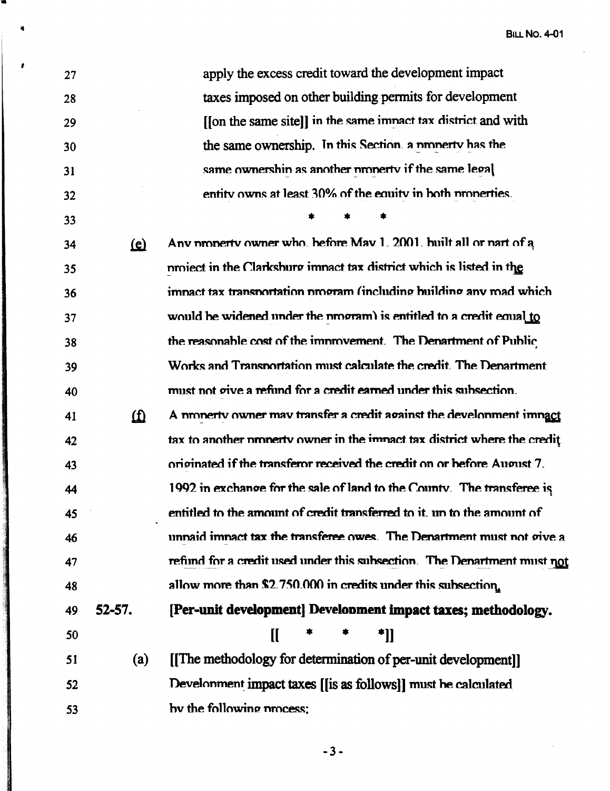**BILL NO. 4-01** 

| 27 |            | apply the excess credit toward the development impact                     |
|----|------------|---------------------------------------------------------------------------|
| 28 |            | taxes imposed on other building permits for development                   |
| 29 |            | [[on the same site]] in the same imnact tax district and with             |
| 30 |            | the same ownership. In this Section. a numerty has the                    |
| 31 |            | same ownershin as another property if the same legal                      |
| 32 |            | entity owns at least 30% of the equity in both properties.                |
| 33 |            |                                                                           |
| 34 | <u>(e)</u> | Any property owner who, before May 1, 2001, built all or part of a        |
| 35 |            | project in the Clarksburg impact tax district which is listed in the      |
| 36 |            | impact tax transportation program (including building any mad which       |
| 37 |            | would be widened under the program) is entitled to a credit equal to      |
| 38 |            | the reasonable cost of the improvement. The Department of Public          |
| 39 |            | Works and Transportation must calculate the credit. The Denartment        |
| 40 |            | must not give a refund for a credit earned under this subsection.         |
| 41 | 血          | A property owner may transfer a credit against the development impact     |
| 42 |            | tax to another property owner in the impact tax district where the credit |
| 43 |            | originated if the transferor received the credit on or before August 7.   |
| 44 |            | 1992 in exchange for the sale of land to the County. The transferee is    |
| 45 |            | entitled to the amount of credit transferred to it, un to the amount of   |
| 46 |            | unnaid imnact tax the transferee owes. The Denartment must not give a     |
| 47 |            | refund for a credit used under this subsection. The Denartment must not   |
| 48 |            | allow more than \$2.750.000 in credits under this subsection.             |
| 49 | $52 - 57.$ | [Per-unit development] Development impact taxes; methodology.             |
| 50 |            | *]]<br>II                                                                 |
| 51 | (a)        | [The methodology for determination of per-unit development]]              |
| 52 |            | Development impact taxes [[is as follows]] must be calculated             |
| 53 |            | by the following process:                                                 |

×

The Second Service Control of the Control of the County

 $-3-$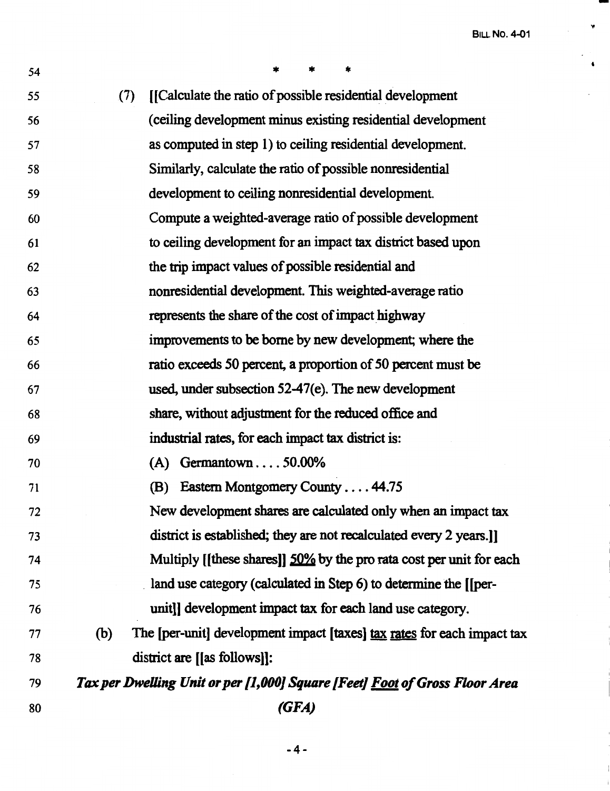**BILL No. 4-01** 

**'fl** 

 $\bullet$ 

| 54 | $\ast$<br>*                                                                    |
|----|--------------------------------------------------------------------------------|
| 55 | [[Calculate the ratio of possible residential development]<br>(7)              |
| 56 | (ceiling development minus existing residential development                    |
| 57 | as computed in step 1) to ceiling residential development.                     |
| 58 | Similarly, calculate the ratio of possible nonresidential                      |
| 59 | development to ceiling nonresidential development.                             |
| 60 | Compute a weighted-average ratio of possible development                       |
| 61 | to ceiling development for an impact tax district based upon                   |
| 62 | the trip impact values of possible residential and                             |
| 63 | nonresidential development. This weighted-average ratio                        |
| 64 | represents the share of the cost of impact highway                             |
| 65 | improvements to be borne by new development; where the                         |
| 66 | ratio exceeds 50 percent, a proportion of 50 percent must be                   |
| 67 | used, under subsection 52-47(e). The new development                           |
| 68 | share, without adjustment for the reduced office and                           |
| 69 | industrial rates, for each impact tax district is:                             |
| 70 | $(A)$ Germantown  50.00%                                                       |
| 71 | Eastern Montgomery County 44.75<br>(B)                                         |
| 72 | New development shares are calculated only when an impact tax                  |
| 73 | district is established; they are not recalculated every 2 years.              |
| 74 | Multiply [[these shares]] 50% by the pro rata cost per unit for each           |
| 75 | land use category (calculated in Step 6) to determine the [[per-               |
| 76 | unit]] development impact tax for each land use category.                      |
| 77 | The [per-unit] development impact [taxes] tax rates for each impact tax<br>(b) |
| 78 | district are [[as follows]]:                                                   |
| 79 | Tax per Dwelling Unit or per [1,000] Square [Feet] Foot of Gross Floor Area    |
| 80 | (GFA)                                                                          |

-4-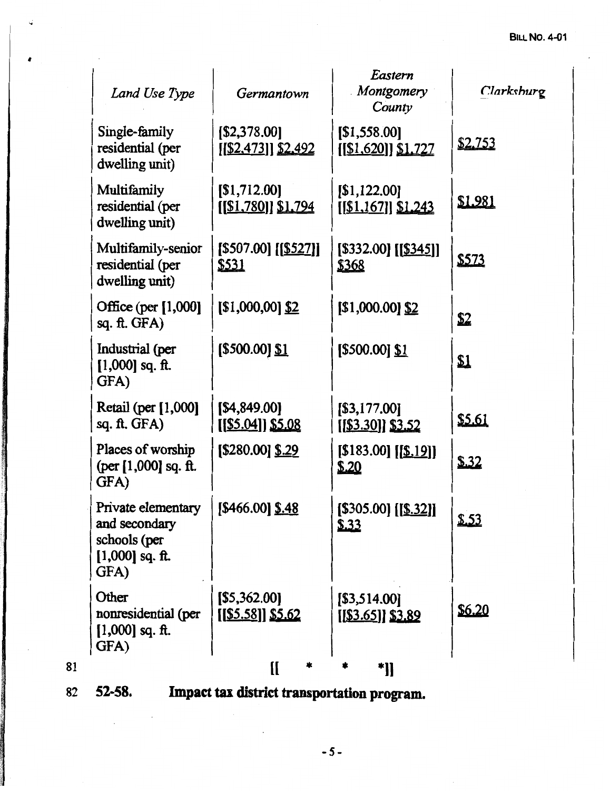|    | Land Use Type                                                                    | Germantown                                 | Eastern<br>Montgomery<br>County          | Clarkshurg     |
|----|----------------------------------------------------------------------------------|--------------------------------------------|------------------------------------------|----------------|
|    | Single-family<br>residential (per<br>dwelling unit)                              | [\$2,378.00]<br>$[[\$2,473]]$ \$2,492      | [\$1,558.00]<br>$[[\$1,620]]\$1,727$     | <u>\$2,753</u> |
|    | Multifamily<br>residential (per<br>dwelling unit)                                | [\$1,712.00]<br><u>[[\$1,780]] \$1,794</u> | [\$1,122.00]<br>$[[\$1,167]]$ \$1,243    | <u>\$1.981</u> |
|    | Multifamily-senior<br>residential (per<br>dwelling unit)                         | $[$507.00]$ $[$527]$ ]<br><u>\$531</u>     | $[$332.00]$ $[$345]$ ]<br><u>\$368</u>   | \$573          |
|    | Office (per [1,000]<br>$sq.$ ft. GFA)                                            | $[$1,000,00]$ $$2$                         | $$1,000.00]$ \$2                         | \$2            |
|    | Industrial (per<br>$[1,000]$ sq. ft.<br>GFA)                                     | [\$500.00] <u>\$1</u>                      | [\$500.00] <u>\$1</u>                    | \$1            |
|    | Retail (per [1,000]<br>sq. ft. GFA)                                              | [\$4,849.00]<br><u>[[\$5.04]] \$5.08</u>   | [\$3,177.00]<br><u>[[\$3.30]] \$3.52</u> | \$5.61         |
|    | Places of worship<br>(per [1,000] sq. ft.<br>GFA)                                | $[$280.00]$ \$.29                          | [\$183.00] <u>[[\$.19]]</u><br>\$.20     | \$.32          |
|    | Private elementary<br>and secondary<br>schools (per<br>$[1,000]$ sq. ft.<br>GFA) | $[$466.00]$ \$.48                          | [\$305.00] [[ <u>\$.32]]</u><br>\$.33    | \$.53          |
|    | Other<br>nonresidential (per<br>$[1,000]$ sq. ft.<br>GFA)                        | [\$5,362.00]<br><u>[[\$5.58]] \$5.62</u>   | [\$3,514.00]<br><u>[[\$3.65]] \$3.89</u> | \$6.20         |
| 81 |                                                                                  | [[<br>*                                    | *]]                                      |                |

..

*I* 

82 **S2-S8. Impact tax district transportation program.**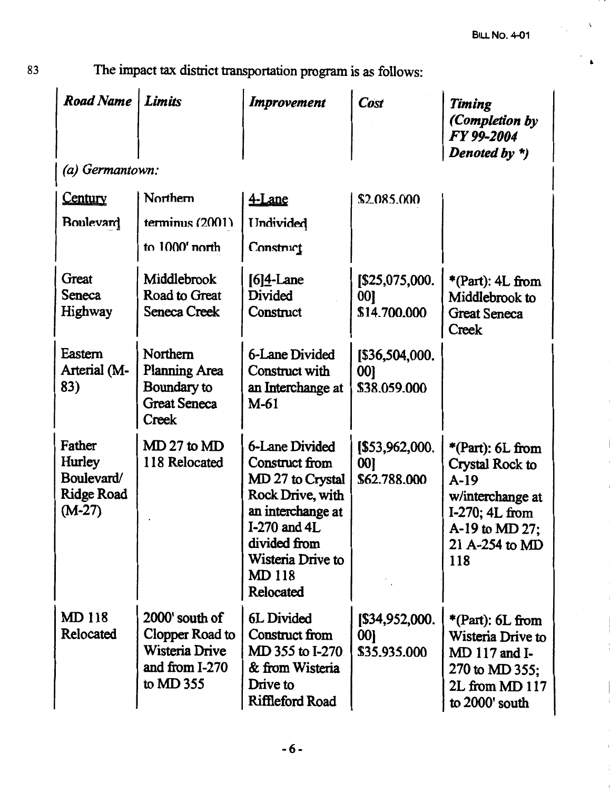$\cdots$ 

83 The impact tax district transportation program is as follows:

| <b>Road Name</b>                                                | Limits                                                                               | Improvement                                                                                                                                                                            | Cost                                  | Timing<br>(Completion by<br>FY 99-2004<br>Denoted by *)                                                                          |
|-----------------------------------------------------------------|--------------------------------------------------------------------------------------|----------------------------------------------------------------------------------------------------------------------------------------------------------------------------------------|---------------------------------------|----------------------------------------------------------------------------------------------------------------------------------|
| (a) Germantown:                                                 |                                                                                      |                                                                                                                                                                                        |                                       |                                                                                                                                  |
| Century                                                         | Northern                                                                             | 4-Lane                                                                                                                                                                                 | \$2.085.000                           |                                                                                                                                  |
| <b>Boulevard</b>                                                | terminus $(2001)$                                                                    | <b>Undivided</b>                                                                                                                                                                       |                                       |                                                                                                                                  |
|                                                                 | to 1000' north                                                                       | Construct                                                                                                                                                                              |                                       |                                                                                                                                  |
| Great<br>Seneca<br>Highway                                      | Middlebrook<br>Road to Great<br><b>Seneca Creek</b>                                  | $[6]4$ -Lane<br>Divided<br>Construct                                                                                                                                                   | [\$25,075,000.]<br>00<br>\$14,700,000 | $*$ (Part): 4L from<br>Middlebrook to<br><b>Great Seneca</b><br>Creek                                                            |
| Eastern<br>Arterial (M-<br>83)                                  | Northern<br><b>Planning Area</b><br>Boundary to<br><b>Great Seneca</b><br>Creek      | 6-Lane Divided<br>Construct with<br>an Interchange at<br>$M-61$                                                                                                                        | [\$36,504,000.<br>00]<br>\$38.059.000 |                                                                                                                                  |
| Father<br>Hurley<br>Boulevard/<br><b>Ridge Road</b><br>$(M-27)$ | $MD 27$ to $MD$<br>118 Relocated                                                     | <b>6-Lane Divided</b><br>Construct from<br>MD 27 to Crystal<br>Rock Drive, with<br>an interchange at<br>I-270 and 4L<br>divided from<br>Wisteria Drive to<br><b>MD118</b><br>Relocated | [\$53,962,000.<br>00]<br>\$62.788.000 | *(Part): $6L$ from<br>Crystal Rock to<br>$A-19$<br>w/interchange at<br>I-270; 4L from<br>A-19 to MD 27;<br>21 A-254 to MD<br>118 |
| <b>MD 118</b><br><b>Relocated</b>                               | 2000' south of<br>Clopper Road to<br>Wisteria Drive<br>and from I-270<br>to $MD$ 355 | 6L Divided<br>Construct from<br>MD 355 to I-270<br>& from Wisteria<br>Drive to<br>Riffleford Road                                                                                      | [\$34,952,000.<br>00]<br>\$35,935,000 | *(Part): $6L$ from<br>Wisteria Drive to<br>MD 117 and I-<br>270 to MD 355;<br>2L from MD 117<br>to 2000' south                   |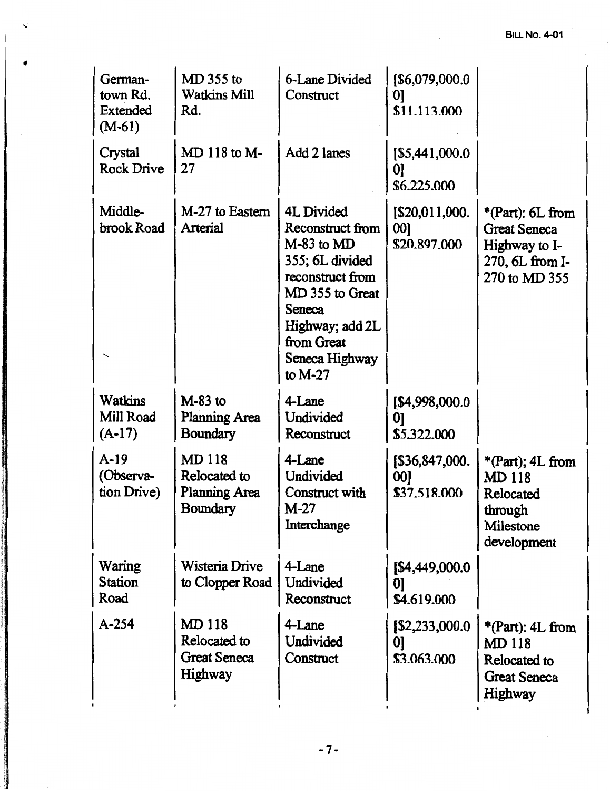### **BILL No. 4-01**

| German-<br>town Rd.<br>Extended<br>$(M-61)$ | MD 355 to<br><b>Watkins Mill</b><br>Rd.                          | 6-Lane Divided<br>Construct                                                                                                                                                          | [\$6,079,000.0<br> 0 <br>\$11.113.000  |                                                                                                |
|---------------------------------------------|------------------------------------------------------------------|--------------------------------------------------------------------------------------------------------------------------------------------------------------------------------------|----------------------------------------|------------------------------------------------------------------------------------------------|
| Crystal<br><b>Rock Drive</b>                | MD 118 to M-<br>27                                               | Add 2 lanes                                                                                                                                                                          | [\$5,441,000.0<br>01<br>\$6,225,000    |                                                                                                |
| Middle-<br>brook Road                       | M-27 to Eastern<br>Arterial                                      | 4L Divided<br>Reconstruct from<br>$M-83$ to $MD$<br>355; 6L divided<br>reconstruct from<br>MD 355 to Great<br>Seneca<br>Highway; add 2L<br>from Great<br>Seneca Highway<br>to $M-27$ | [\$20,011,000.]<br>00]<br>\$20.897.000 | *(Part): $6L$ from<br><b>Great Seneca</b><br>Highway to I-<br>270, 6L from I-<br>270 to MD 355 |
| <b>Watkins</b><br>Mill Road<br>$(A-17)$     | $M-83$ to<br><b>Planning Area</b><br>Boundary                    | 4-Lane<br>Undivided<br>Reconstruct                                                                                                                                                   | [\$4,998,000.0<br>01<br>\$5.322.000    |                                                                                                |
| $A-19$<br>(Observa-<br>tion Drive)          | <b>MD118</b><br>Relocated to<br><b>Planning Area</b><br>Boundary | 4-Lane<br>Undivided<br>Construct with<br>$M-27$<br>Interchange                                                                                                                       | [\$36,847,000.<br>00]<br>\$37.518.000  | $*(Part); 4L from$<br><b>MD118</b><br>Relocated<br>through<br>Milestone<br>development         |
| Waring<br><b>Station</b><br>Road            | Wisteria Drive<br>to Clopper Road                                | 4-Lane<br>Undivided<br>Reconstruct                                                                                                                                                   | [\$4,449,000.0<br>01<br>\$4.619.000    |                                                                                                |
| $A - 254$                                   | <b>MD118</b><br>Relocated to<br><b>Great Seneca</b><br>Highway   | 4-Lane<br>Undivided<br>Construct                                                                                                                                                     | [\$2,233,000.0]<br>01<br>\$3.063,000   | *(Part): 4L from<br><b>MD118</b><br>Relocated to<br><b>Great Seneca</b><br>Highway             |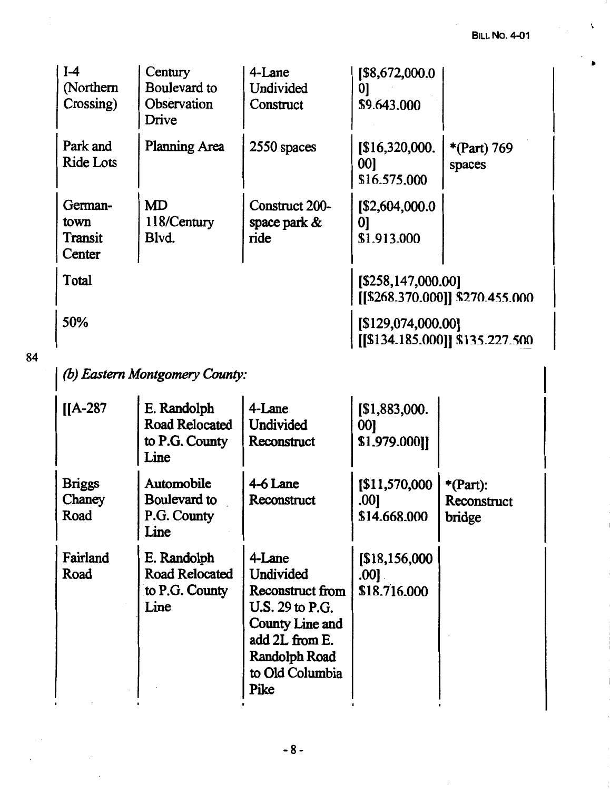$\lambda$ 

|    | $I-4$<br>(Northern<br>Crossing)      | Century<br>Boulevard to<br>Observation<br>Drive         | 4-Lane<br>Undivided<br>Construct                                                                                                            | [\$8,672,000.0<br> 0 <br>\$9.643,000              |                                      |
|----|--------------------------------------|---------------------------------------------------------|---------------------------------------------------------------------------------------------------------------------------------------------|---------------------------------------------------|--------------------------------------|
|    | Park and<br><b>Ride Lots</b>         | <b>Planning Area</b>                                    | 2550 spaces                                                                                                                                 | \$16,320,000.<br>00]<br>\$16.575.000              | *(Part) 769<br>spaces                |
|    | German-<br>town<br>Transit<br>Center | <b>MD</b><br>118/Century<br>Blvd.                       | Construct 200-<br>space park $\&$<br>ride                                                                                                   | [\$2,604,000.0<br>$\boldsymbol{0}$<br>\$1,913,000 |                                      |
|    | Total                                |                                                         |                                                                                                                                             | [\$258,147,000.00]                                | [[\$268.370.000]] \$270.455.000      |
|    | 50%                                  |                                                         |                                                                                                                                             | [\$129,074,000.00]                                | [[\$134.185.000]] \$135.227.500      |
| 84 |                                      | (b) Eastern Montgomery County:                          |                                                                                                                                             |                                                   |                                      |
|    | $[IA-287]$                           | E. Randolph<br>Road Relocated<br>to P.G. County<br>Line | 4-Lane<br>Undivided<br>Reconstruct                                                                                                          | [\$1,883,000.<br>00]<br>\$1.979.000]]             |                                      |
|    | <b>Briggs</b><br>Chaney<br>Road      | Automobile<br>Boulevard to<br>P.G. County<br>Line       | 4-6 Lane<br>Reconstruct                                                                                                                     | [\$11,570,000<br>.00]<br>\$14.668.000             | $*$ (Part):<br>Reconstruct<br>bridge |
|    | Fairland<br>Road                     | E. Randolph<br>Road Relocated<br>to P.G. County<br>Line | 4-Lane<br>Undivided<br>Reconstruct from<br>U.S. 29 to P.G.<br>County Line and<br>add 2L from E.<br>Randolph Road<br>to Old Columbia<br>Pike | [\$18,156,000]<br>.001<br>\$18.716.000            |                                      |

 $\bar{z}$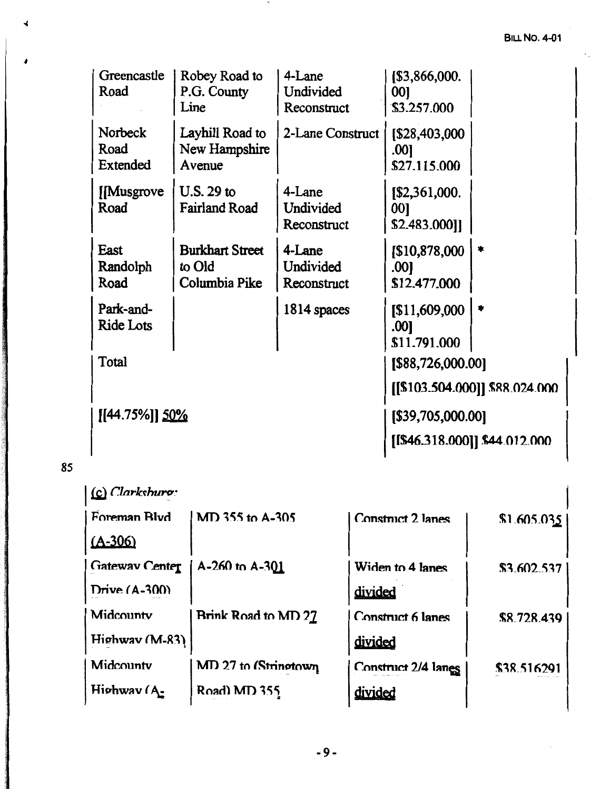| Greencastle<br>Road                | Robey Road to<br>P.G. County<br>Line              | 4-Lane<br>Undivided<br>Reconstruct | [\$3,866,000.<br>001<br>\$3.257.000    |                                |
|------------------------------------|---------------------------------------------------|------------------------------------|----------------------------------------|--------------------------------|
| <b>Norbeck</b><br>Road<br>Extended | Layhill Road to<br>New Hampshire<br>Avenue        | 2-Lane Construct                   | [\$28,403,000]<br>.001<br>\$27.115.000 |                                |
| [Musgrove]<br>Road                 | U.S. 29 to<br><b>Fairland Road</b>                | 4-Lane<br>Undivided<br>Reconstruct | [\$2,361,000.<br>00]<br>\$2.483.000]]  |                                |
| East<br>Randolph<br>Road           | <b>Burkhart Street</b><br>to Old<br>Columbia Pike | 4-Lane<br>Undivided<br>Reconstruct | [\$10,878,000]<br>.001<br>\$12.477.000 | $\ast$                         |
| Park-and-<br><b>Ride Lots</b>      |                                                   | 1814 spaces                        | [\$11,609,000<br>.001<br>\$11.791.000  | *                              |
| Total                              |                                                   |                                    | [\$88,726,000.00]                      | [[\$103.504.000]] \$88.024.000 |
| [[44.75%]] 50%                     |                                                   |                                    | [\$39,705,000.00]                      | [[\$46.318.000]] \$44.012.000  |

## **85**

| $(c)$ Clarkshuro:     |                      |                          |             |
|-----------------------|----------------------|--------------------------|-------------|
| Foreman Blvd          | MD 355 to A-305      | <b>Construct 2 lanes</b> | \$1,605.035 |
| $(A - 306)$           |                      |                          |             |
| <b>Gateway Center</b> | $A-260$ to $A-301$   | Widen to 4 lanes         | \$3.602.537 |
| Drive $(A-300)$       |                      | divided                  |             |
| Midcounty             | Brink Road to MD 27  | <b>Construct 6 lanes</b> | \$8.728.439 |
| Highway (M-83)        |                      | divided                  |             |
| Midcounty             | MD 27 to (Stringtown | Construct 2/4 lanes      | \$38,516291 |
| Highway (A-           | Road) MD 355         | divided                  |             |
|                       |                      |                          |             |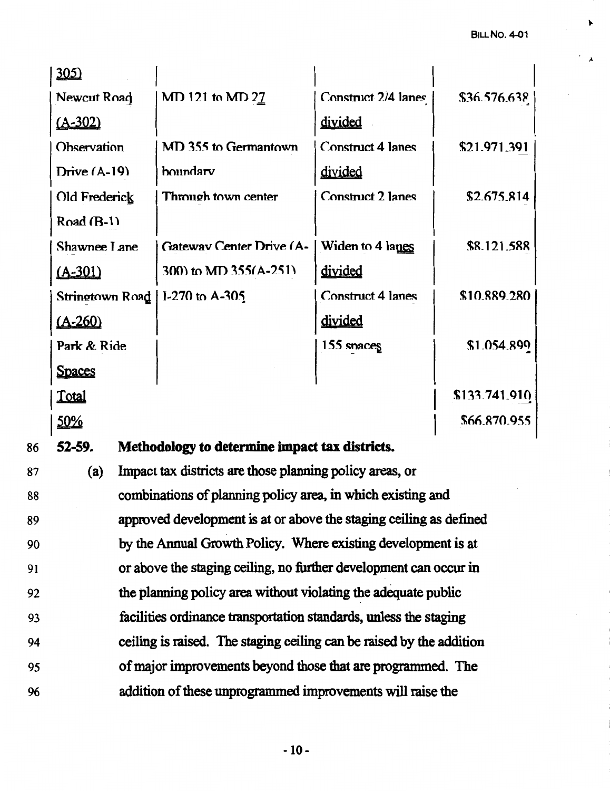| 305                              |                                                |                          |               |
|----------------------------------|------------------------------------------------|--------------------------|---------------|
| Newcut Road                      | MD 121 to MD 27                                | Construct 2/4 lanes      | \$36.576.638  |
| $(A - 302)$                      |                                                | divided                  |               |
| Observation                      | MD 355 to Germantown                           | <b>Construct 4 lanes</b> | \$21.971.391  |
| Drive $(A-19)$                   | boundary                                       | divided                  |               |
| Old Frederick                    | Through town center                            | <b>Construct 2 lanes</b> | \$2.675.814   |
| Road $(B-1)$                     |                                                |                          |               |
| Shawnee Lane                     | <b>Gateway Center Drive (A-1)</b>              | Widen to 4 lanes         | \$8.121.588   |
| <u>(A-301)</u>                   | 300) to MD 355(A-251)                          | divided                  |               |
| Stringtown Road   I-270 to A-305 |                                                | <b>Construct 4 lanes</b> | \$10,889,280  |
| $(A - 260)$                      |                                                | divided                  |               |
| Park & Ride                      |                                                | 155 snaces               | \$1.054.899   |
| <u>Spaces</u>                    |                                                |                          |               |
| <b>Total</b>                     |                                                |                          | \$133.741.910 |
| <u>50%</u>                       |                                                |                          | \$66.870.955  |
| 52-59.                           | Methodology to determine impact tax districts. |                          |               |
|                                  |                                                |                          |               |

87 88 89 90 91 92 93 94 95 96 (a) Impact tax districts are those planning policy areas, or combinations of planning policy area, in which existing and approved development is at or above the staging ceiling as defined by the Annual Growth Policy. Where existing development is at or above the staging ceiling, no further development can occur in the planning policy area without violating the adequate public facilities ordinance transportation standards, unless the staging ceiling is raised. The staging ceiling can be raised by the addition of major improvements beyond those that are programmed. The addition of these unprogrammed improvements will raise the

86